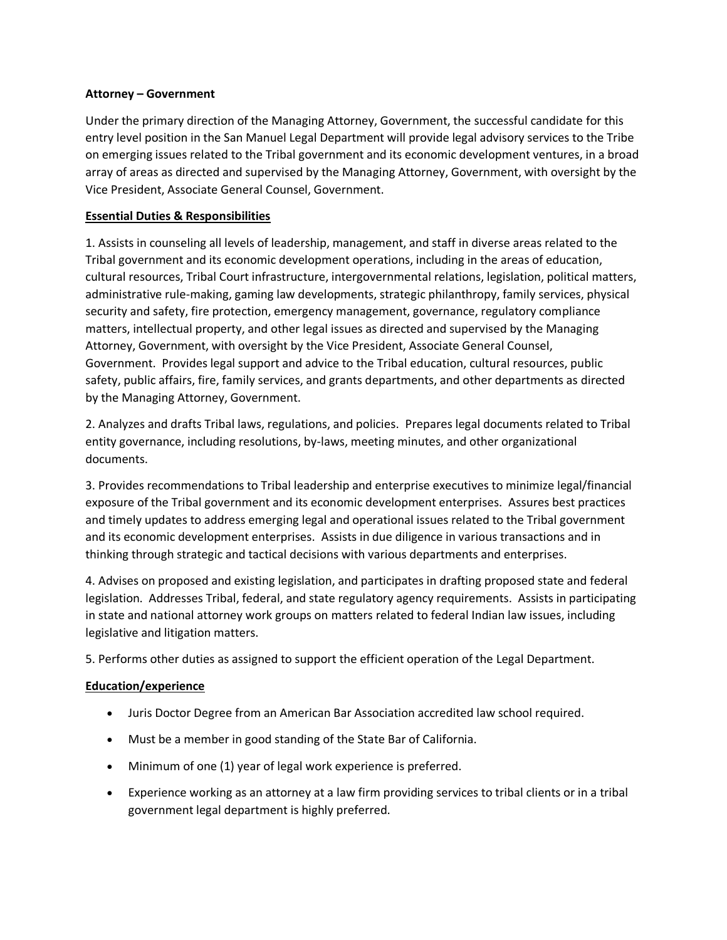## **Attorney – Government**

Under the primary direction of the Managing Attorney, Government, the successful candidate for this entry level position in the San Manuel Legal Department will provide legal advisory services to the Tribe on emerging issues related to the Tribal government and its economic development ventures, in a broad array of areas as directed and supervised by the Managing Attorney, Government, with oversight by the Vice President, Associate General Counsel, Government.

## **Essential Duties & Responsibilities**

1. Assists in counseling all levels of leadership, management, and staff in diverse areas related to the Tribal government and its economic development operations, including in the areas of education, cultural resources, Tribal Court infrastructure, intergovernmental relations, legislation, political matters, administrative rule-making, gaming law developments, strategic philanthropy, family services, physical security and safety, fire protection, emergency management, governance, regulatory compliance matters, intellectual property, and other legal issues as directed and supervised by the Managing Attorney, Government, with oversight by the Vice President, Associate General Counsel, Government. Provides legal support and advice to the Tribal education, cultural resources, public safety, public affairs, fire, family services, and grants departments, and other departments as directed by the Managing Attorney, Government.

2. Analyzes and drafts Tribal laws, regulations, and policies. Prepares legal documents related to Tribal entity governance, including resolutions, by-laws, meeting minutes, and other organizational documents.

3. Provides recommendations to Tribal leadership and enterprise executives to minimize legal/financial exposure of the Tribal government and its economic development enterprises. Assures best practices and timely updates to address emerging legal and operational issues related to the Tribal government and its economic development enterprises. Assists in due diligence in various transactions and in thinking through strategic and tactical decisions with various departments and enterprises.

4. Advises on proposed and existing legislation, and participates in drafting proposed state and federal legislation. Addresses Tribal, federal, and state regulatory agency requirements. Assists in participating in state and national attorney work groups on matters related to federal Indian law issues, including legislative and litigation matters.

5. Performs other duties as assigned to support the efficient operation of the Legal Department.

## **Education/experience**

- Juris Doctor Degree from an American Bar Association accredited law school required.
- Must be a member in good standing of the State Bar of California.
- Minimum of one (1) year of legal work experience is preferred.
- Experience working as an attorney at a law firm providing services to tribal clients or in a tribal government legal department is highly preferred.